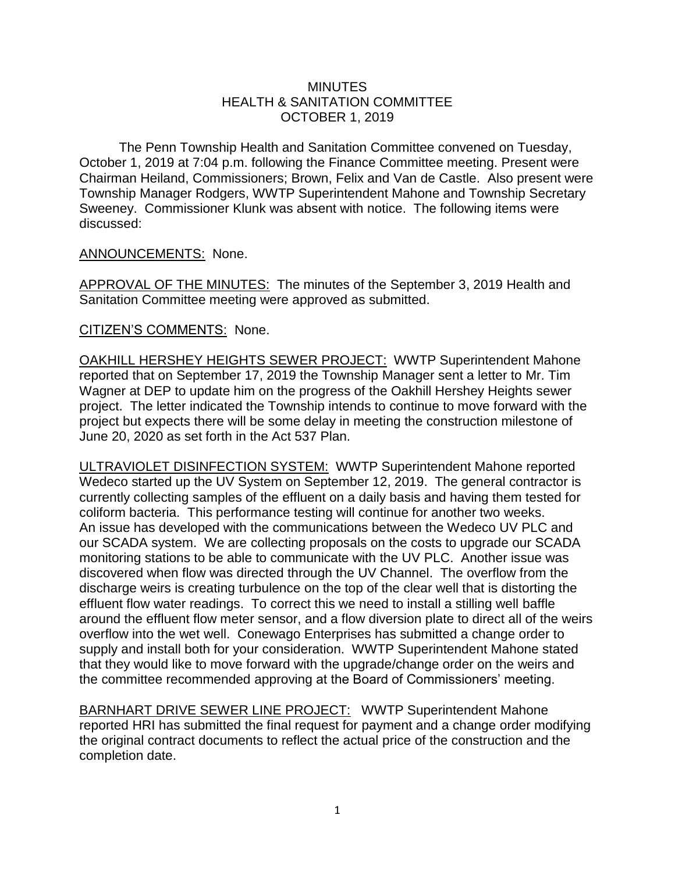## **MINUTES** HEALTH & SANITATION COMMITTEE OCTOBER 1, 2019

The Penn Township Health and Sanitation Committee convened on Tuesday, October 1, 2019 at 7:04 p.m. following the Finance Committee meeting. Present were Chairman Heiland, Commissioners; Brown, Felix and Van de Castle. Also present were Township Manager Rodgers, WWTP Superintendent Mahone and Township Secretary Sweeney. Commissioner Klunk was absent with notice. The following items were discussed:

## ANNOUNCEMENTS: None.

APPROVAL OF THE MINUTES: The minutes of the September 3, 2019 Health and Sanitation Committee meeting were approved as submitted.

## CITIZEN'S COMMENTS: None.

OAKHILL HERSHEY HEIGHTS SEWER PROJECT: WWTP Superintendent Mahone reported that on September 17, 2019 the Township Manager sent a letter to Mr. Tim Wagner at DEP to update him on the progress of the Oakhill Hershey Heights sewer project. The letter indicated the Township intends to continue to move forward with the project but expects there will be some delay in meeting the construction milestone of June 20, 2020 as set forth in the Act 537 Plan.

ULTRAVIOLET DISINFECTION SYSTEM: WWTP Superintendent Mahone reported Wedeco started up the UV System on September 12, 2019. The general contractor is currently collecting samples of the effluent on a daily basis and having them tested for coliform bacteria. This performance testing will continue for another two weeks. An issue has developed with the communications between the Wedeco UV PLC and our SCADA system. We are collecting proposals on the costs to upgrade our SCADA monitoring stations to be able to communicate with the UV PLC. Another issue was discovered when flow was directed through the UV Channel. The overflow from the discharge weirs is creating turbulence on the top of the clear well that is distorting the effluent flow water readings. To correct this we need to install a stilling well baffle around the effluent flow meter sensor, and a flow diversion plate to direct all of the weirs overflow into the wet well. Conewago Enterprises has submitted a change order to supply and install both for your consideration. WWTP Superintendent Mahone stated that they would like to move forward with the upgrade/change order on the weirs and the committee recommended approving at the Board of Commissioners' meeting.

BARNHART DRIVE SEWER LINE PROJECT: WWTP Superintendent Mahone reported HRI has submitted the final request for payment and a change order modifying the original contract documents to reflect the actual price of the construction and the completion date.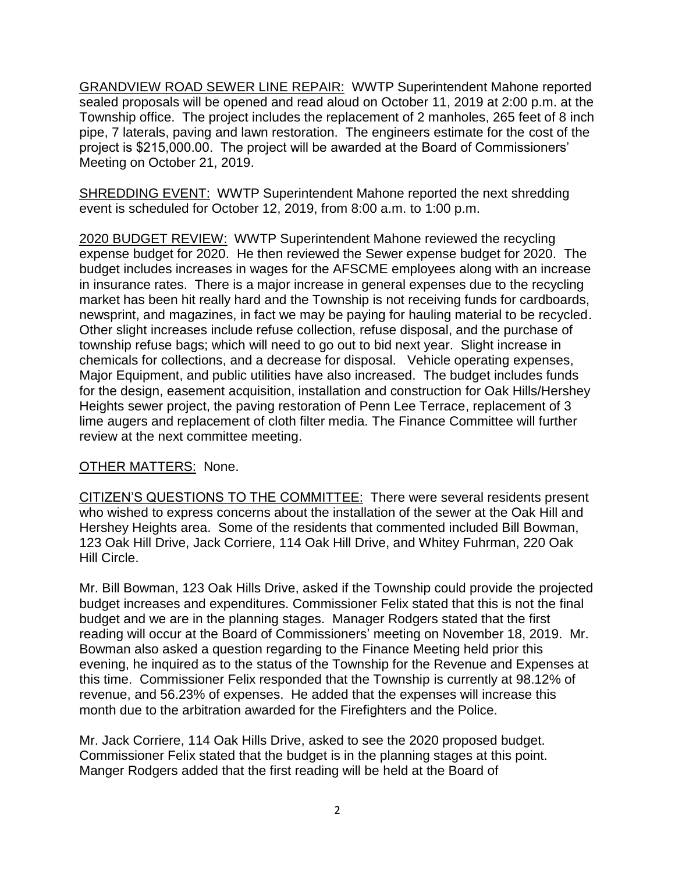GRANDVIEW ROAD SEWER LINE REPAIR: WWTP Superintendent Mahone reported sealed proposals will be opened and read aloud on October 11, 2019 at 2:00 p.m. at the Township office. The project includes the replacement of 2 manholes, 265 feet of 8 inch pipe, 7 laterals, paving and lawn restoration. The engineers estimate for the cost of the project is \$215,000.00. The project will be awarded at the Board of Commissioners' Meeting on October 21, 2019.

SHREDDING EVENT: WWTP Superintendent Mahone reported the next shredding event is scheduled for October 12, 2019, from 8:00 a.m. to 1:00 p.m.

2020 BUDGET REVIEW: WWTP Superintendent Mahone reviewed the recycling expense budget for 2020. He then reviewed the Sewer expense budget for 2020. The budget includes increases in wages for the AFSCME employees along with an increase in insurance rates. There is a major increase in general expenses due to the recycling market has been hit really hard and the Township is not receiving funds for cardboards, newsprint, and magazines, in fact we may be paying for hauling material to be recycled. Other slight increases include refuse collection, refuse disposal, and the purchase of township refuse bags; which will need to go out to bid next year. Slight increase in chemicals for collections, and a decrease for disposal. Vehicle operating expenses, Major Equipment, and public utilities have also increased. The budget includes funds for the design, easement acquisition, installation and construction for Oak Hills/Hershey Heights sewer project, the paving restoration of Penn Lee Terrace, replacement of 3 lime augers and replacement of cloth filter media. The Finance Committee will further review at the next committee meeting.

## OTHER MATTERS: None.

CITIZEN'S QUESTIONS TO THE COMMITTEE: There were several residents present who wished to express concerns about the installation of the sewer at the Oak Hill and Hershey Heights area. Some of the residents that commented included Bill Bowman, 123 Oak Hill Drive, Jack Corriere, 114 Oak Hill Drive, and Whitey Fuhrman, 220 Oak Hill Circle.

Mr. Bill Bowman, 123 Oak Hills Drive, asked if the Township could provide the projected budget increases and expenditures. Commissioner Felix stated that this is not the final budget and we are in the planning stages. Manager Rodgers stated that the first reading will occur at the Board of Commissioners' meeting on November 18, 2019. Mr. Bowman also asked a question regarding to the Finance Meeting held prior this evening, he inquired as to the status of the Township for the Revenue and Expenses at this time. Commissioner Felix responded that the Township is currently at 98.12% of revenue, and 56.23% of expenses. He added that the expenses will increase this month due to the arbitration awarded for the Firefighters and the Police.

Mr. Jack Corriere, 114 Oak Hills Drive, asked to see the 2020 proposed budget. Commissioner Felix stated that the budget is in the planning stages at this point. Manger Rodgers added that the first reading will be held at the Board of